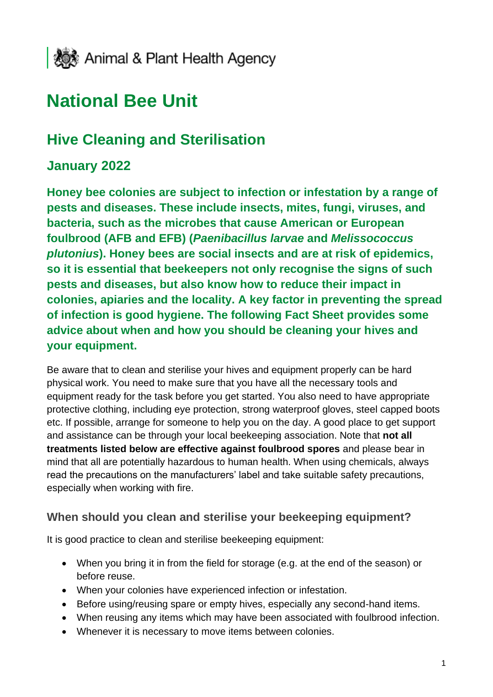

# **National Bee Unit**

## **Hive Cleaning and Sterilisation**

## **January 2022**

**Honey bee colonies are subject to infection or infestation by a range of pests and diseases. These include insects, mites, fungi, viruses, and bacteria, such as the microbes that cause American or European foulbrood (AFB and EFB) (***Paenibacillus larvae* **and** *Melissococcus plutonius***). Honey bees are social insects and are at risk of epidemics, so it is essential that beekeepers not only recognise the signs of such pests and diseases, but also know how to reduce their impact in colonies, apiaries and the locality. A key factor in preventing the spread of infection is good hygiene. The following Fact Sheet provides some advice about when and how you should be cleaning your hives and your equipment.**

Be aware that to clean and sterilise your hives and equipment properly can be hard physical work. You need to make sure that you have all the necessary tools and equipment ready for the task before you get started. You also need to have appropriate protective clothing, including eye protection, strong waterproof gloves, steel capped boots etc. If possible, arrange for someone to help you on the day. A good place to get support and assistance can be through your local beekeeping association. Note that **not all treatments listed below are effective against foulbrood spores** and please bear in mind that all are potentially hazardous to human health. When using chemicals, always read the precautions on the manufacturers' label and take suitable safety precautions, especially when working with fire.

#### **When should you clean and sterilise your beekeeping equipment?**

It is good practice to clean and sterilise beekeeping equipment:

- When you bring it in from the field for storage (e.g. at the end of the season) or before reuse.
- When your colonies have experienced infection or infestation.
- Before using/reusing spare or empty hives, especially any second-hand items.
- When reusing any items which may have been associated with foulbrood infection.
- Whenever it is necessary to move items between colonies.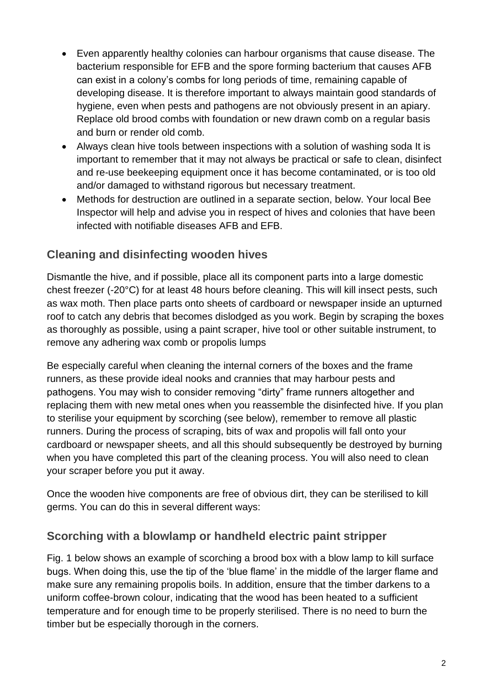- Even apparently healthy colonies can harbour organisms that cause disease. The bacterium responsible for EFB and the spore forming bacterium that causes AFB can exist in a colony's combs for long periods of time, remaining capable of developing disease. It is therefore important to always maintain good standards of hygiene, even when pests and pathogens are not obviously present in an apiary. Replace old brood combs with foundation or new drawn comb on a regular basis and burn or render old comb.
- Always clean hive tools between inspections with a solution of washing soda It is important to remember that it may not always be practical or safe to clean, disinfect and re-use beekeeping equipment once it has become contaminated, or is too old and/or damaged to withstand rigorous but necessary treatment.
- Methods for destruction are outlined in a separate section, below. Your local Bee Inspector will help and advise you in respect of hives and colonies that have been infected with notifiable diseases AFB and EFB.

## **Cleaning and disinfecting wooden hives**

Dismantle the hive, and if possible, place all its component parts into a large domestic chest freezer (-20°C) for at least 48 hours before cleaning. This will kill insect pests, such as wax moth. Then place parts onto sheets of cardboard or newspaper inside an upturned roof to catch any debris that becomes dislodged as you work. Begin by scraping the boxes as thoroughly as possible, using a paint scraper, hive tool or other suitable instrument, to remove any adhering wax comb or propolis lumps

Be especially careful when cleaning the internal corners of the boxes and the frame runners, as these provide ideal nooks and crannies that may harbour pests and pathogens. You may wish to consider removing "dirty" frame runners altogether and replacing them with new metal ones when you reassemble the disinfected hive. If you plan to sterilise your equipment by scorching (see below), remember to remove all plastic runners. During the process of scraping, bits of wax and propolis will fall onto your cardboard or newspaper sheets, and all this should subsequently be destroyed by burning when you have completed this part of the cleaning process. You will also need to clean your scraper before you put it away.

Once the wooden hive components are free of obvious dirt, they can be sterilised to kill germs. You can do this in several different ways:

#### **Scorching with a blowlamp or handheld electric paint stripper**

Fig. 1 below shows an example of scorching a brood box with a blow lamp to kill surface bugs. When doing this, use the tip of the 'blue flame' in the middle of the larger flame and make sure any remaining propolis boils. In addition, ensure that the timber darkens to a uniform coffee-brown colour, indicating that the wood has been heated to a sufficient temperature and for enough time to be properly sterilised. There is no need to burn the timber but be especially thorough in the corners.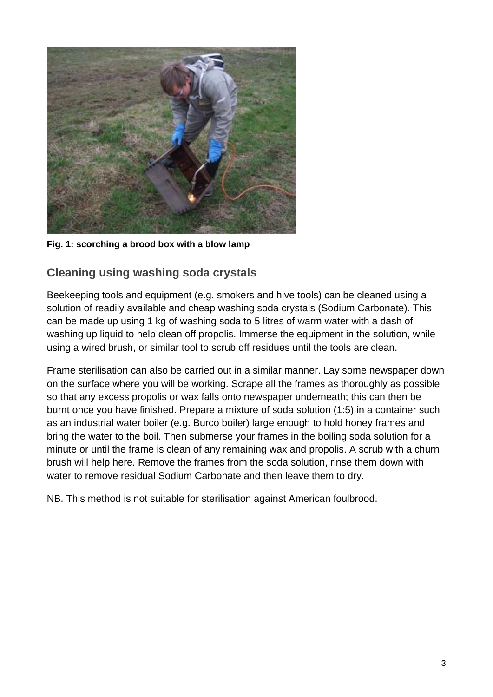

**Fig. 1: scorching a brood box with a blow lamp**

#### **Cleaning using washing soda crystals**

Beekeeping tools and equipment (e.g. smokers and hive tools) can be cleaned using a solution of readily available and cheap washing soda crystals (Sodium Carbonate). This can be made up using 1 kg of washing soda to 5 litres of warm water with a dash of washing up liquid to help clean off propolis. Immerse the equipment in the solution, while using a wired brush, or similar tool to scrub off residues until the tools are clean.

Frame sterilisation can also be carried out in a similar manner. Lay some newspaper down on the surface where you will be working. Scrape all the frames as thoroughly as possible so that any excess propolis or wax falls onto newspaper underneath; this can then be burnt once you have finished. Prepare a mixture of soda solution (1:5) in a container such as an industrial water boiler (e.g. Burco boiler) large enough to hold honey frames and bring the water to the boil. Then submerse your frames in the boiling soda solution for a minute or until the frame is clean of any remaining wax and propolis. A scrub with a churn brush will help here. Remove the frames from the soda solution, rinse them down with water to remove residual Sodium Carbonate and then leave them to dry.

NB. This method is not suitable for sterilisation against American foulbrood.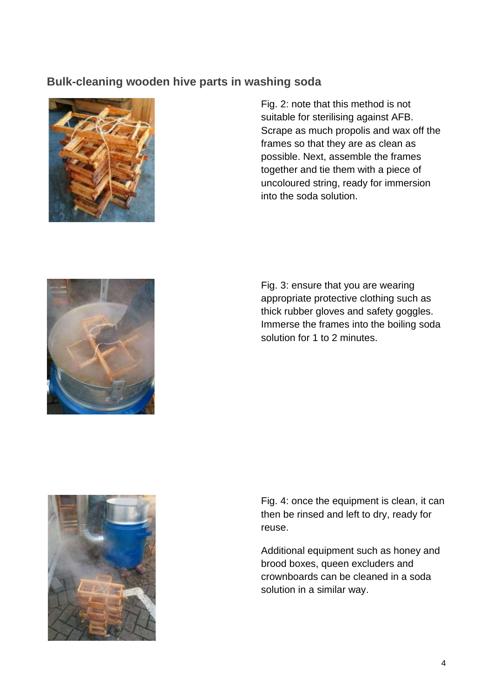#### **Bulk-cleaning wooden hive parts in washing soda**



Fig. 2: note that this method is not suitable for sterilising against AFB. Scrape as much propolis and wax off the frames so that they are as clean as possible. Next, assemble the frames together and tie them with a piece of uncoloured string, ready for immersion into the soda solution.



Fig. 3: ensure that you are wearing appropriate protective clothing such as thick rubber gloves and safety goggles. Immerse the frames into the boiling soda solution for 1 to 2 minutes.



Fig. 4: once the equipment is clean, it can then be rinsed and left to dry, ready for reuse.

Additional equipment such as honey and brood boxes, queen excluders and crownboards can be cleaned in a soda solution in a similar way.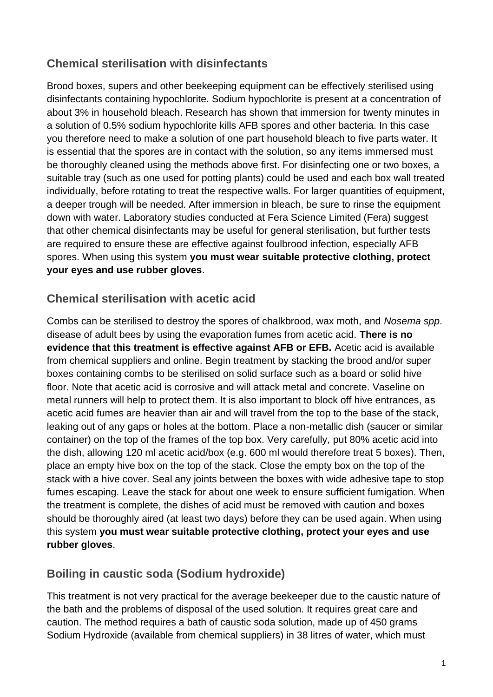## **Chemical sterilisation with disinfectants**

Brood boxes, supers and other beekeeping equipment can be effectively sterilised using disinfectants containing hypochlorite. Sodium hypochlorite is present at a concentration of about 3% in household bleach. Research has shown that immersion for twenty minutes in a solution of 0.5% sodium hypochlorite kills AFB spores and other bacteria. In this case you therefore need to make a solution of one part household bleach to five parts water. It is essential that the spores are in contact with the solution, so any items immersed must be thoroughly cleaned using the methods above first. For disinfecting one or two boxes, a suitable tray (such as one used for potting plants) could be used and each box wall treated individually, before rotating to treat the respective walls. For larger quantities of equipment, a deeper trough will be needed. After immersion in bleach, be sure to rinse the equipment down with water. Laboratory studies conducted at Fera Science Limited (Fera) suggest that other chemical disinfectants may be useful for general sterilisation, but further tests are required to ensure these are effective against foulbrood infection, especially AFB spores. When using this system **you must wear suitable protective clothing, protect your eyes and use rubber gloves**.

#### **Chemical sterilisation with acetic acid**

Combs can be sterilised to destroy the spores of chalkbrood, wax moth, and *Nosema spp*. disease of adult bees by using the evaporation fumes from acetic acid. **There is no evidence that this treatment is effective against AFB or EFB.** Acetic acid is available from chemical suppliers and online. Begin treatment by stacking the brood and/or super boxes containing combs to be sterilised on solid surface such as a board or solid hive floor. Note that acetic acid is corrosive and will attack metal and concrete. Vaseline on metal runners will help to protect them. It is also important to block off hive entrances, as acetic acid fumes are heavier than air and will travel from the top to the base of the stack, leaking out of any gaps or holes at the bottom. Place a non-metallic dish (saucer or similar container) on the top of the frames of the top box. Very carefully, put 80% acetic acid into the dish, allowing 120 ml acetic acid/box (e.g. 600 ml would therefore treat 5 boxes). Then, place an empty hive box on the top of the stack. Close the empty box on the top of the stack with a hive cover. Seal any joints between the boxes with wide adhesive tape to stop fumes escaping. Leave the stack for about one week to ensure sufficient fumigation. When the treatment is complete, the dishes of acid must be removed with caution and boxes should be thoroughly aired (at least two days) before they can be used again. When using this system **you must wear suitable protective clothing, protect your eyes and use rubber gloves**.

#### **Boiling in caustic soda (Sodium hydroxide)**

This treatment is not very practical for the average beekeeper due to the caustic nature of the bath and the problems of disposal of the used solution. It requires great care and caution. The method requires a bath of caustic soda solution, made up of 450 grams Sodium Hydroxide (available from chemical suppliers) in 38 litres of water, which must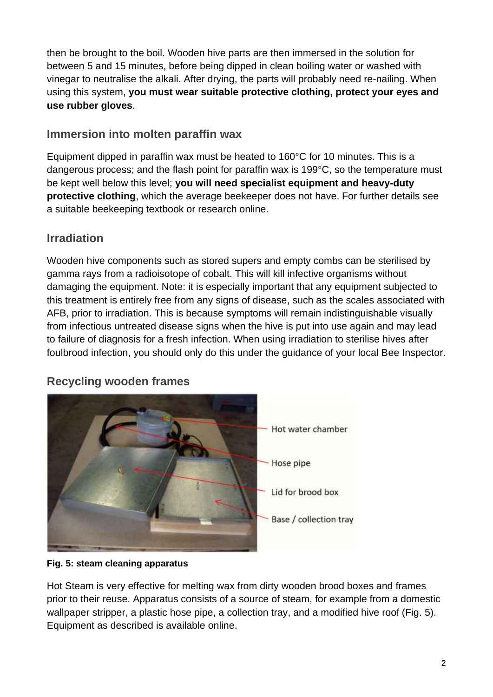then be brought to the boil. Wooden hive parts are then immersed in the solution for between 5 and 15 minutes, before being dipped in clean boiling water or washed with vinegar to neutralise the alkali. After drying, the parts will probably need re-nailing. When using this system, **you must wear suitable protective clothing, protect your eyes and use rubber gloves**.

#### **Immersion into molten paraffin wax**

Equipment dipped in paraffin wax must be heated to 160°C for 10 minutes. This is a dangerous process; and the flash point for paraffin wax is 199°C, so the temperature must be kept well below this level; **you will need specialist equipment and heavy-duty protective clothing**, which the average beekeeper does not have. For further details see a suitable beekeeping textbook or research online.

## **Irradiation**

Wooden hive components such as stored supers and empty combs can be sterilised by gamma rays from a radioisotope of cobalt. This will kill infective organisms without damaging the equipment. Note: it is especially important that any equipment subjected to this treatment is entirely free from any signs of disease, such as the scales associated with AFB, prior to irradiation. This is because symptoms will remain indistinguishable visually from infectious untreated disease signs when the hive is put into use again and may lead to failure of diagnosis for a fresh infection. When using irradiation to sterilise hives after foulbrood infection, you should only do this under the guidance of your local Bee Inspector.



## **Recycling wooden frames**

#### **Fig. 5: steam cleaning apparatus**

Hot Steam is very effective for melting wax from dirty wooden brood boxes and frames prior to their reuse. Apparatus consists of a source of steam, for example from a domestic wallpaper stripper, a plastic hose pipe, a collection tray, and a modified hive roof (Fig. 5). Equipment as described is available online.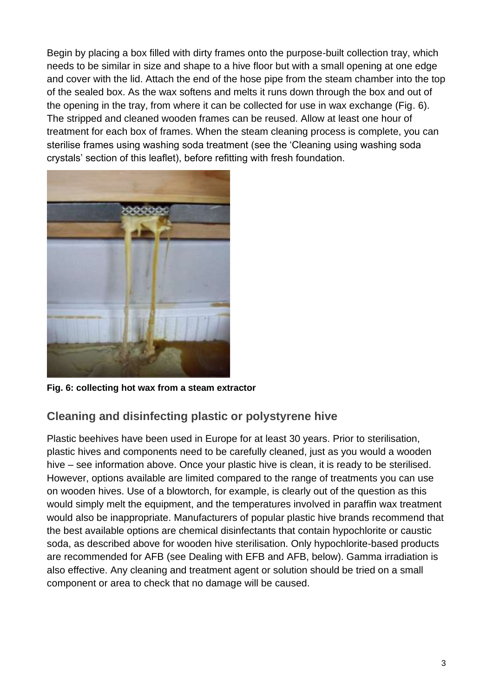Begin by placing a box filled with dirty frames onto the purpose-built collection tray, which needs to be similar in size and shape to a hive floor but with a small opening at one edge and cover with the lid. Attach the end of the hose pipe from the steam chamber into the top of the sealed box. As the wax softens and melts it runs down through the box and out of the opening in the tray, from where it can be collected for use in wax exchange (Fig. 6). The stripped and cleaned wooden frames can be reused. Allow at least one hour of treatment for each box of frames. When the steam cleaning process is complete, you can sterilise frames using washing soda treatment (see the 'Cleaning using washing soda crystals' section of this leaflet), before refitting with fresh foundation.



**Fig. 6: collecting hot wax from a steam extractor**

## **Cleaning and disinfecting plastic or polystyrene hive**

Plastic beehives have been used in Europe for at least 30 years. Prior to sterilisation, plastic hives and components need to be carefully cleaned, just as you would a wooden hive – see information above. Once your plastic hive is clean, it is ready to be sterilised. However, options available are limited compared to the range of treatments you can use on wooden hives. Use of a blowtorch, for example, is clearly out of the question as this would simply melt the equipment, and the temperatures involved in paraffin wax treatment would also be inappropriate. Manufacturers of popular plastic hive brands recommend that the best available options are chemical disinfectants that contain hypochlorite or caustic soda, as described above for wooden hive sterilisation. Only hypochlorite-based products are recommended for AFB (see Dealing with EFB and AFB, below). Gamma irradiation is also effective. Any cleaning and treatment agent or solution should be tried on a small component or area to check that no damage will be caused.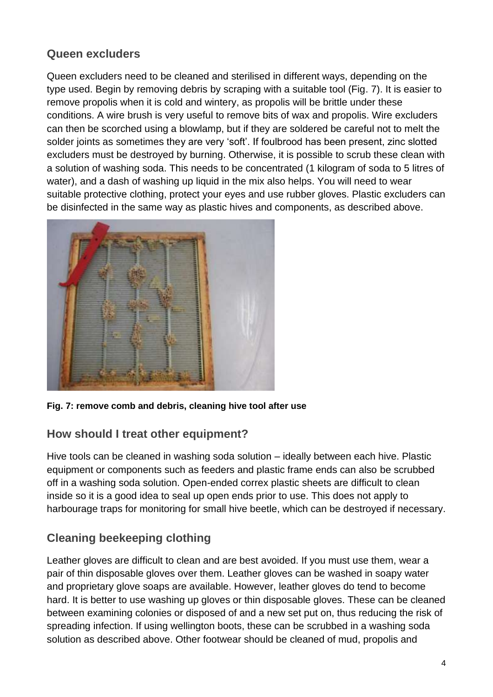## **Queen excluders**

Queen excluders need to be cleaned and sterilised in different ways, depending on the type used. Begin by removing debris by scraping with a suitable tool (Fig. 7). It is easier to remove propolis when it is cold and wintery, as propolis will be brittle under these conditions. A wire brush is very useful to remove bits of wax and propolis. Wire excluders can then be scorched using a blowlamp, but if they are soldered be careful not to melt the solder joints as sometimes they are very 'soft'. If foulbrood has been present, zinc slotted excluders must be destroyed by burning. Otherwise, it is possible to scrub these clean with a solution of washing soda. This needs to be concentrated (1 kilogram of soda to 5 litres of water), and a dash of washing up liquid in the mix also helps. You will need to wear suitable protective clothing, protect your eyes and use rubber gloves. Plastic excluders can be disinfected in the same way as plastic hives and components, as described above.



**Fig. 7: remove comb and debris, cleaning hive tool after use**

## **How should I treat other equipment?**

Hive tools can be cleaned in washing soda solution – ideally between each hive. Plastic equipment or components such as feeders and plastic frame ends can also be scrubbed off in a washing soda solution. Open-ended correx plastic sheets are difficult to clean inside so it is a good idea to seal up open ends prior to use. This does not apply to harbourage traps for monitoring for small hive beetle, which can be destroyed if necessary.

## **Cleaning beekeeping clothing**

Leather gloves are difficult to clean and are best avoided. If you must use them, wear a pair of thin disposable gloves over them. Leather gloves can be washed in soapy water and proprietary glove soaps are available. However, leather gloves do tend to become hard. It is better to use washing up gloves or thin disposable gloves. These can be cleaned between examining colonies or disposed of and a new set put on, thus reducing the risk of spreading infection. If using wellington boots, these can be scrubbed in a washing soda solution as described above. Other footwear should be cleaned of mud, propolis and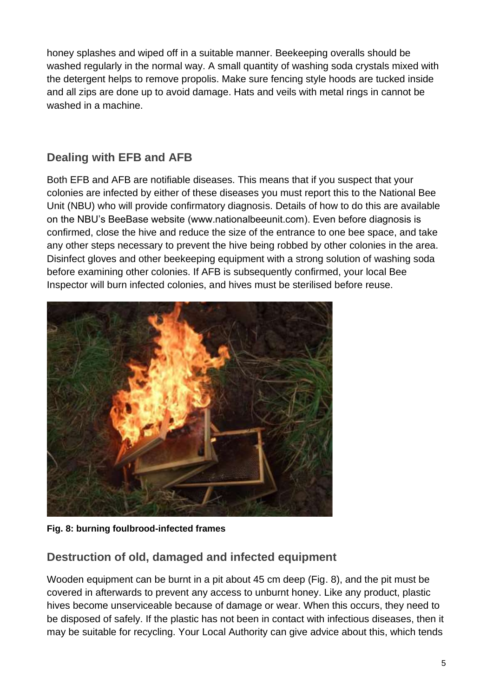honey splashes and wiped off in a suitable manner. Beekeeping overalls should be washed regularly in the normal way. A small quantity of washing soda crystals mixed with the detergent helps to remove propolis. Make sure fencing style hoods are tucked inside and all zips are done up to avoid damage. Hats and veils with metal rings in cannot be washed in a machine.

## **Dealing with EFB and AFB**

Both EFB and AFB are notifiable diseases. This means that if you suspect that your colonies are infected by either of these diseases you must report this to the National Bee Unit (NBU) who will provide confirmatory diagnosis. Details of how to do this are available on the NBU's BeeBase website (www.nationalbeeunit.com). Even before diagnosis is confirmed, close the hive and reduce the size of the entrance to one bee space, and take any other steps necessary to prevent the hive being robbed by other colonies in the area. Disinfect gloves and other beekeeping equipment with a strong solution of washing soda before examining other colonies. If AFB is subsequently confirmed, your local Bee Inspector will burn infected colonies, and hives must be sterilised before reuse.



**Fig. 8: burning foulbrood-infected frames**

## **Destruction of old, damaged and infected equipment**

Wooden equipment can be burnt in a pit about 45 cm deep (Fig. 8), and the pit must be covered in afterwards to prevent any access to unburnt honey. Like any product, plastic hives become unserviceable because of damage or wear. When this occurs, they need to be disposed of safely. If the plastic has not been in contact with infectious diseases, then it may be suitable for recycling. Your Local Authority can give advice about this, which tends